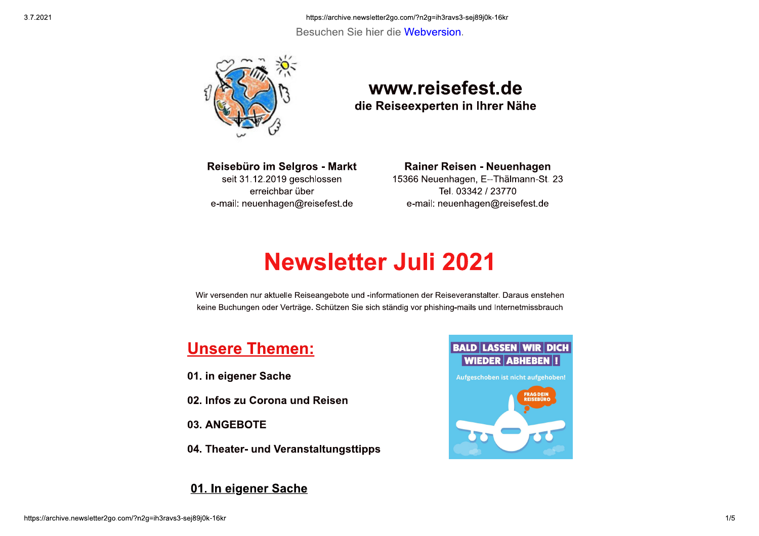https://archive.newsletter2go.com/?n2g=ih3ravs3-sej89j0k-16kr Besuchen Sie hier die Webversion.



### www.reisefest.de die Reiseexperten in Ihrer Nähe

Reisebüro im Selgros - Markt seit 31.12.2019 geschlossen erreichbar über e-mail: neuenhagen@reisefest.de

#### Rainer Reisen - Neuenhagen

15366 Neuenhagen, E--Thälmann-St. 23 Tel. 03342 / 23770 e-mail: neuenhagen@reisefest.de

# **Newsletter Juli 2021**

Wir versenden nur aktuelle Reiseangebote und -informationen der Reiseveranstalter. Daraus enstehen keine Buchungen oder Verträge. Schützen Sie sich ständig vor phishing-mails und Internetmissbrauch

### **Unsere Themen:**

- 01. in eigener Sache
- 02. Infos zu Corona und Reisen
- 03. ANGEBOTE
- 04. Theater- und Veranstaltungsttipps

#### 01. In eigener Sache

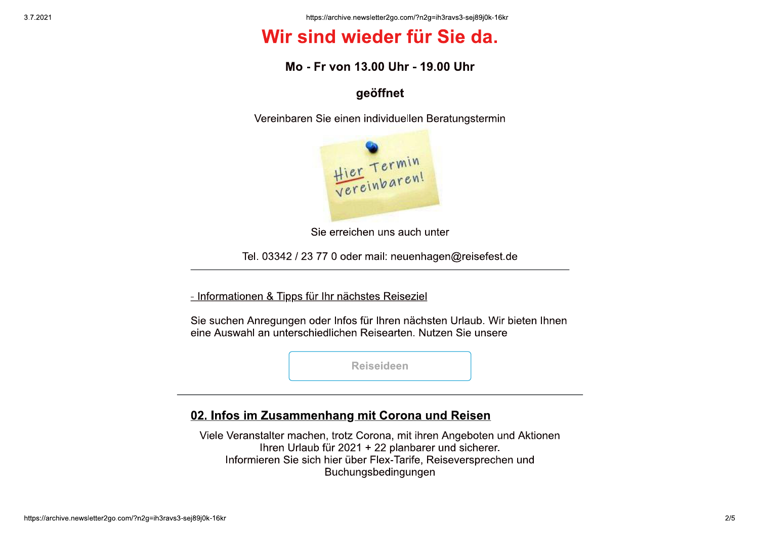## Wir sind wieder für Sie da.

#### Mo - Fr von 13.00 Uhr - 19.00 Uhr

#### geöffnet

Vereinbaren Sie einen individuellen Beratungstermin



Sie erreichen uns auch unter

Tel. 03342 / 23 77 0 oder mail: neuenhagen@reisefest.de

- Informationen & Tipps für Ihr nächstes Reiseziel

Sie suchen Anregungen oder Infos für Ihren nächsten Urlaub. Wir bieten Ihnen eine Auswahl an unterschiedlichen Reisearten. Nutzen Sie unsere

**Reiseideen** 

### 02. Infos im Zusammenhang mit Corona und Reisen

Viele Veranstalter machen, trotz Corona, mit ihren Angeboten und Aktionen Ihren Urlaub für 2021 + 22 planbarer und sicherer. Informieren Sie sich hier über Flex-Tarife, Reiseversprechen und Buchungsbedingungen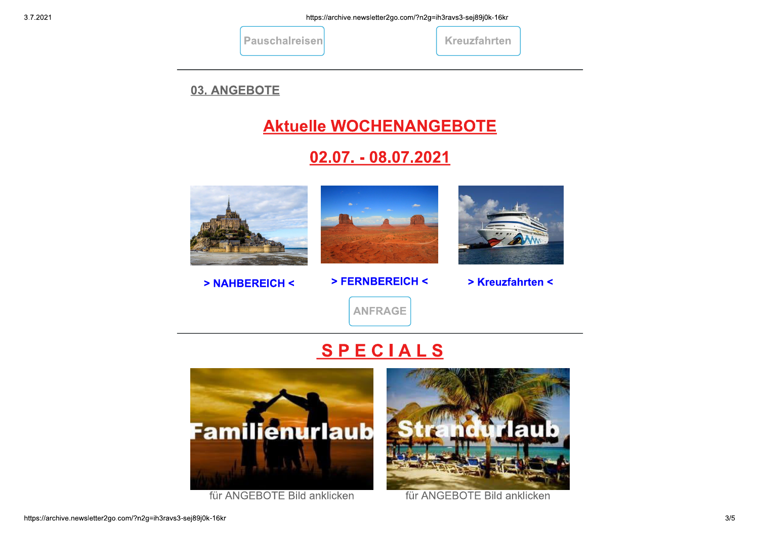| <b>Pauschalreisen</b> |
|-----------------------|
|-----------------------|

|  |  |  | <b>Kreuzfahrten</b> |  |
|--|--|--|---------------------|--|
|  |  |  |                     |  |

03. ANGEBOTE

### **Aktuelle WOCHENANGEBOTE**

### 02.07. - 08.07.2021



> NAHBEREICH <



> FERNBEREICH <



> Kreuzfahrten <

**ANFRAGE** 

# SPECIALS



für ANGEBOTE Bild anklicken



für ANGEBOTE Bild anklicken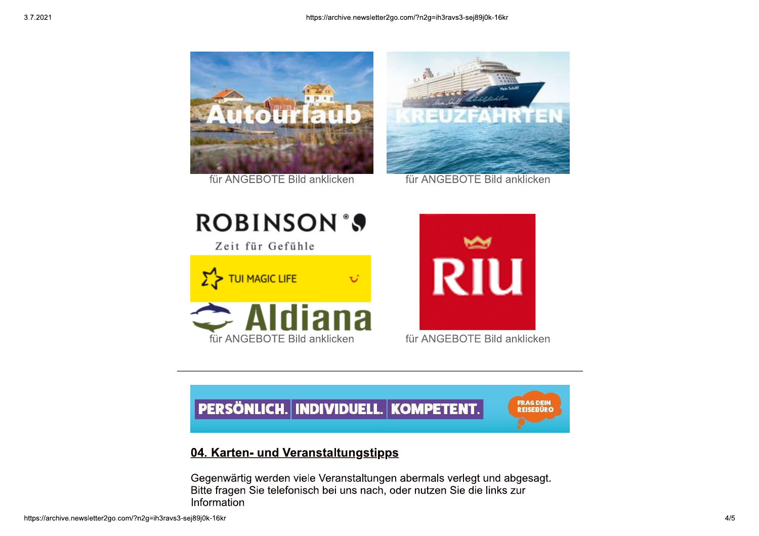

für ANGEBOTE Bild anklicken



für ANGEBOTE Bild anklicken





für ANGEBOTE Bild anklicken



### 04. Karten- und Veranstaltungstipps

Gegenwärtig werden viele Veranstaltungen abermals verlegt und abgesagt. Bitte fragen Sie telefonisch bei uns nach, oder nutzen Sie die links zur Information